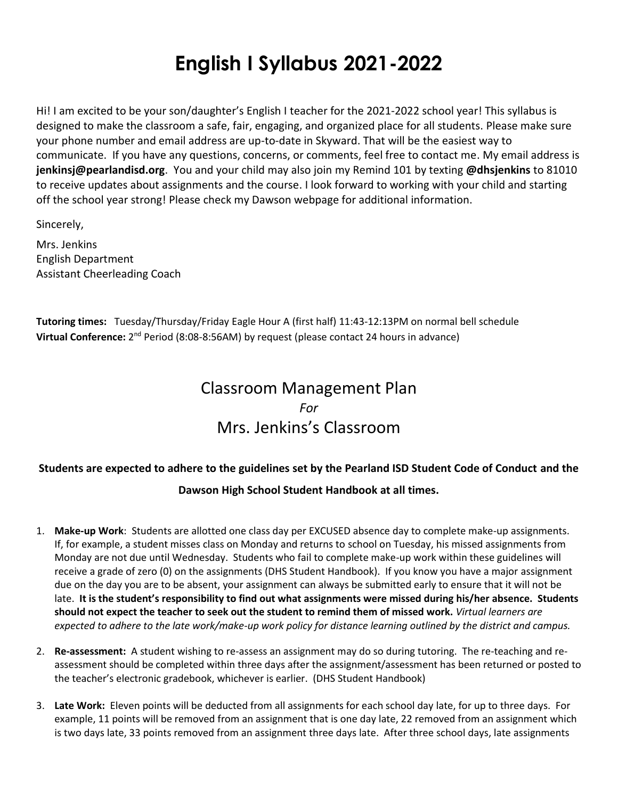# **English I Syllabus 2021-2022**

Hi! I am excited to be your son/daughter's English I teacher for the 2021-2022 school year! This syllabus is designed to make the classroom a safe, fair, engaging, and organized place for all students. Please make sure your phone number and email address are up-to-date in Skyward. That will be the easiest way to communicate. If you have any questions, concerns, or comments, feel free to contact me. My email address is **jenkinsj@pearlandisd.org**. You and your child may also join my Remind 101 by texting **@dhsjenkins** to 81010 to receive updates about assignments and the course. I look forward to working with your child and starting off the school year strong! Please check my Dawson webpage for additional information.

Sincerely,

Mrs. Jenkins English Department Assistant Cheerleading Coach

**Tutoring times:** Tuesday/Thursday/Friday Eagle Hour A (first half) 11:43-12:13PM on normal bell schedule **Virtual Conference:** 2<sup>nd</sup> Period (8:08-8:56AM) by request (please contact 24 hours in advance)

# Classroom Management Plan *For* Mrs. Jenkins's Classroom

# **Students are expected to adhere to the guidelines set by the Pearland ISD Student Code of Conduct and the**

### **Dawson High School Student Handbook at all times.**

- 1. **Make-up Work**: Students are allotted one class day per EXCUSED absence day to complete make-up assignments. If, for example, a student misses class on Monday and returns to school on Tuesday, his missed assignments from Monday are not due until Wednesday. Students who fail to complete make-up work within these guidelines will receive a grade of zero (0) on the assignments (DHS Student Handbook). If you know you have a major assignment due on the day you are to be absent, your assignment can always be submitted early to ensure that it will not be late. **It is the student's responsibility to find out what assignments were missed during his/her absence. Students should not expect the teacher to seek out the student to remind them of missed work.** *Virtual learners are expected to adhere to the late work/make-up work policy for distance learning outlined by the district and campus.*
- 2. **Re-assessment:** A student wishing to re-assess an assignment may do so during tutoring. The re-teaching and reassessment should be completed within three days after the assignment/assessment has been returned or posted to the teacher's electronic gradebook, whichever is earlier. (DHS Student Handbook)
- 3. **Late Work:** Eleven points will be deducted from all assignments for each school day late, for up to three days. For example, 11 points will be removed from an assignment that is one day late, 22 removed from an assignment which is two days late, 33 points removed from an assignment three days late. After three school days, late assignments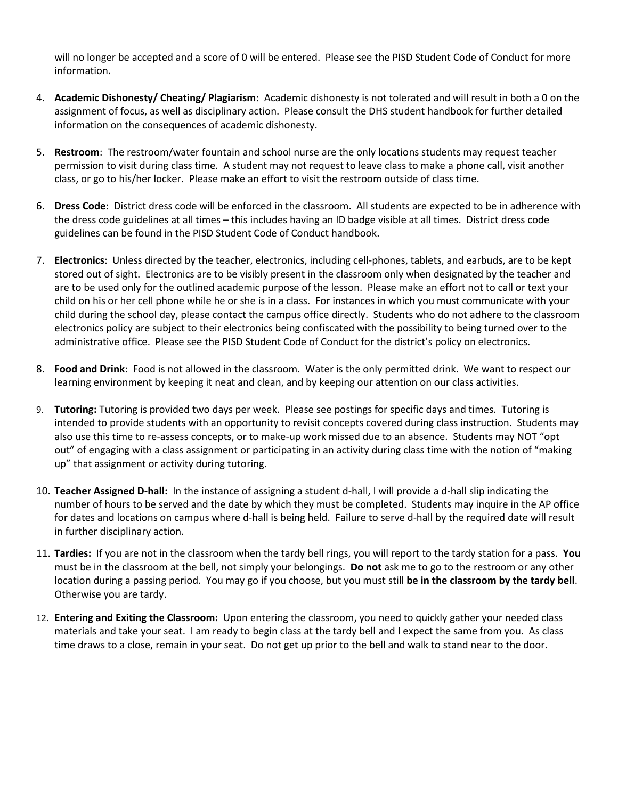will no longer be accepted and a score of 0 will be entered. Please see the PISD Student Code of Conduct for more information.

- 4. **Academic Dishonesty/ Cheating/ Plagiarism:** Academic dishonesty is not tolerated and will result in both a 0 on the assignment of focus, as well as disciplinary action. Please consult the DHS student handbook for further detailed information on the consequences of academic dishonesty.
- 5. **Restroom**: The restroom/water fountain and school nurse are the only locations students may request teacher permission to visit during class time. A student may not request to leave class to make a phone call, visit another class, or go to his/her locker. Please make an effort to visit the restroom outside of class time.
- 6. **Dress Code**: District dress code will be enforced in the classroom. All students are expected to be in adherence with the dress code guidelines at all times – this includes having an ID badge visible at all times. District dress code guidelines can be found in the PISD Student Code of Conduct handbook.
- 7. **Electronics**: Unless directed by the teacher, electronics, including cell-phones, tablets, and earbuds, are to be kept stored out of sight. Electronics are to be visibly present in the classroom only when designated by the teacher and are to be used only for the outlined academic purpose of the lesson. Please make an effort not to call or text your child on his or her cell phone while he or she is in a class. For instances in which you must communicate with your child during the school day, please contact the campus office directly. Students who do not adhere to the classroom electronics policy are subject to their electronics being confiscated with the possibility to being turned over to the administrative office. Please see the PISD Student Code of Conduct for the district's policy on electronics.
- 8. **Food and Drink**: Food is not allowed in the classroom. Water is the only permitted drink. We want to respect our learning environment by keeping it neat and clean, and by keeping our attention on our class activities.
- 9. **Tutoring:** Tutoring is provided two days per week. Please see postings for specific days and times. Tutoring is intended to provide students with an opportunity to revisit concepts covered during class instruction. Students may also use this time to re-assess concepts, or to make-up work missed due to an absence. Students may NOT "opt out" of engaging with a class assignment or participating in an activity during class time with the notion of "making up" that assignment or activity during tutoring.
- 10. **Teacher Assigned D-hall:** In the instance of assigning a student d-hall, I will provide a d-hall slip indicating the number of hours to be served and the date by which they must be completed. Students may inquire in the AP office for dates and locations on campus where d-hall is being held. Failure to serve d-hall by the required date will result in further disciplinary action.
- 11. **Tardies:** If you are not in the classroom when the tardy bell rings, you will report to the tardy station for a pass. **You** must be in the classroom at the bell, not simply your belongings. **Do not** ask me to go to the restroom or any other location during a passing period. You may go if you choose, but you must still **be in the classroom by the tardy bell**. Otherwise you are tardy.
- 12. **Entering and Exiting the Classroom:** Upon entering the classroom, you need to quickly gather your needed class materials and take your seat. I am ready to begin class at the tardy bell and I expect the same from you. As class time draws to a close, remain in your seat. Do not get up prior to the bell and walk to stand near to the door.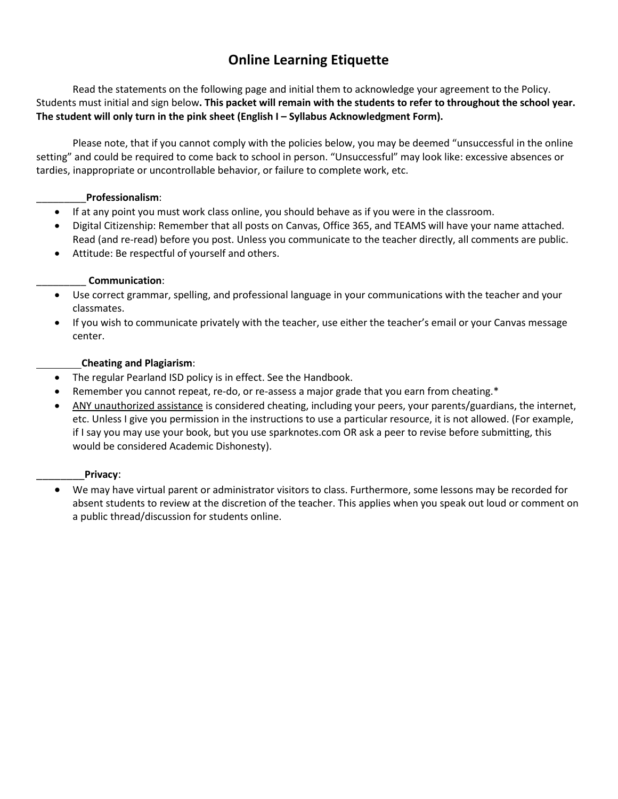# **Online Learning Etiquette**

Read the statements on the following page and initial them to acknowledge your agreement to the Policy. Students must initial and sign below**. This packet will remain with the students to refer to throughout the school year.**  The student will only turn in the pink sheet (English I – Syllabus Acknowledgment Form).

Please note, that if you cannot comply with the policies below, you may be deemed "unsuccessful in the online setting" and could be required to come back to school in person. "Unsuccessful" may look like: excessive absences or tardies, inappropriate or uncontrollable behavior, or failure to complete work, etc.

#### \_\_\_\_\_\_\_\_\_**Professionalism**:

- If at any point you must work class online, you should behave as if you were in the classroom.
- Digital Citizenship: Remember that all posts on Canvas, Office 365, and TEAMS will have your name attached. Read (and re-read) before you post. Unless you communicate to the teacher directly, all comments are public.
- Attitude: Be respectful of yourself and others.

#### \_\_\_\_\_\_\_\_\_ **Communication**:

- Use correct grammar, spelling, and professional language in your communications with the teacher and your classmates.
- If you wish to communicate privately with the teacher, use either the teacher's email or your Canvas message center.

#### **Cheating and Plagiarism**:

- The regular Pearland ISD policy is in effect. See the Handbook.
- Remember you cannot repeat, re-do, or re-assess a major grade that you earn from cheating.\*
- ANY unauthorized assistance is considered cheating, including your peers, your parents/guardians, the internet, etc. Unless I give you permission in the instructions to use a particular resource, it is not allowed. (For example, if I say you may use your book, but you use sparknotes.com OR ask a peer to revise before submitting, this would be considered Academic Dishonesty).

#### \_\_\_\_\_\_\_\_**Privacy**:

• We may have virtual parent or administrator visitors to class. Furthermore, some lessons may be recorded for absent students to review at the discretion of the teacher. This applies when you speak out loud or comment on a public thread/discussion for students online.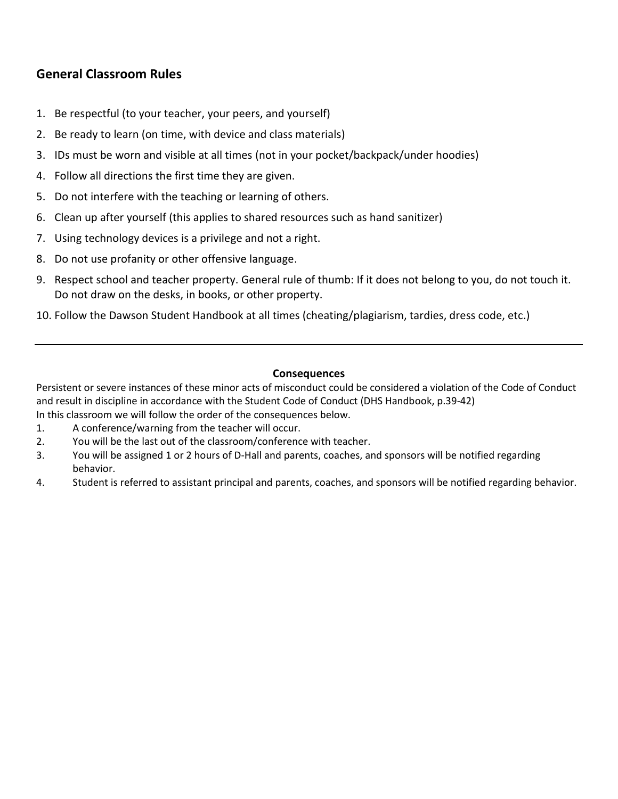# **General Classroom Rules**

- 1. Be respectful (to your teacher, your peers, and yourself)
- 2. Be ready to learn (on time, with device and class materials)
- 3. IDs must be worn and visible at all times (not in your pocket/backpack/under hoodies)
- 4. Follow all directions the first time they are given.
- 5. Do not interfere with the teaching or learning of others.
- 6. Clean up after yourself (this applies to shared resources such as hand sanitizer)
- 7. Using technology devices is a privilege and not a right.
- 8. Do not use profanity or other offensive language.
- 9. Respect school and teacher property. General rule of thumb: If it does not belong to you, do not touch it. Do not draw on the desks, in books, or other property.
- 10. Follow the Dawson Student Handbook at all times (cheating/plagiarism, tardies, dress code, etc.)

#### **Consequences**

Persistent or severe instances of these minor acts of misconduct could be considered a violation of the Code of Conduct and result in discipline in accordance with the Student Code of Conduct (DHS Handbook, p.39-42)

- In this classroom we will follow the order of the consequences below.
- 1. A conference/warning from the teacher will occur.
- 2. You will be the last out of the classroom/conference with teacher.
- 3. You will be assigned 1 or 2 hours of D-Hall and parents, coaches, and sponsors will be notified regarding behavior.
- 4. Student is referred to assistant principal and parents, coaches, and sponsors will be notified regarding behavior.